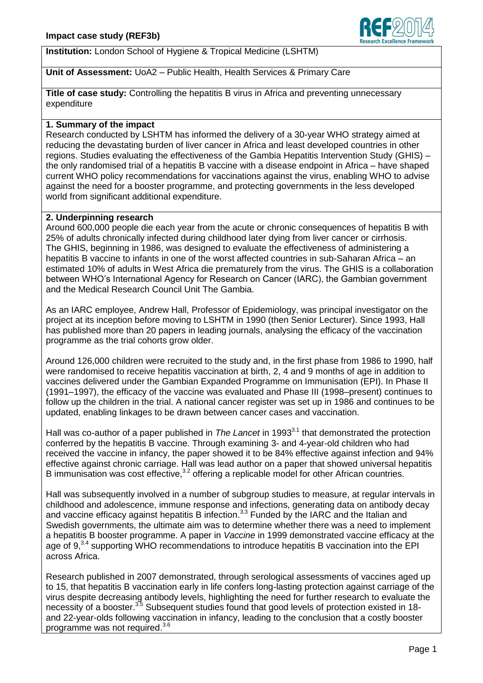

**Institution:** London School of Hygiene & Tropical Medicine (LSHTM)

# **Unit of Assessment:** UoA2 – Public Health, Health Services & Primary Care

**Title of case study:** Controlling the hepatitis B virus in Africa and preventing unnecessary expenditure

# **1. Summary of the impact**

Research conducted by LSHTM has informed the delivery of a 30-year WHO strategy aimed at reducing the devastating burden of liver cancer in Africa and least developed countries in other regions. Studies evaluating the effectiveness of the Gambia Hepatitis Intervention Study (GHIS) – the only randomised trial of a hepatitis B vaccine with a disease endpoint in Africa – have shaped current WHO policy recommendations for vaccinations against the virus, enabling WHO to advise against the need for a booster programme, and protecting governments in the less developed world from significant additional expenditure.

### **2. Underpinning research**

Around 600,000 people die each year from the acute or chronic consequences of hepatitis B with 25% of adults chronically infected during childhood later dying from liver cancer or cirrhosis. The GHIS, beginning in 1986, was designed to evaluate the effectiveness of administering a hepatitis B vaccine to infants in one of the worst affected countries in sub-Saharan Africa – an estimated 10% of adults in West Africa die prematurely from the virus. The GHIS is a collaboration between WHO's International Agency for Research on Cancer (IARC), the Gambian government and the Medical Research Council Unit The Gambia.

As an IARC employee, Andrew Hall, Professor of Epidemiology, was principal investigator on the project at its inception before moving to LSHTM in 1990 (then Senior Lecturer). Since 1993, Hall has published more than 20 papers in leading journals, analysing the efficacy of the vaccination programme as the trial cohorts grow older.

Around 126,000 children were recruited to the study and, in the first phase from 1986 to 1990, half were randomised to receive hepatitis vaccination at birth, 2, 4 and 9 months of age in addition to vaccines delivered under the Gambian Expanded Programme on Immunisation (EPI). In Phase II (1991–1997), the efficacy of the vaccine was evaluated and Phase III (1998–present) continues to follow up the children in the trial. A national cancer register was set up in 1986 and continues to be updated, enabling linkages to be drawn between cancer cases and vaccination.

Hall was co-author of a paper published in *The Lancet* in 1993<sup>3.1</sup> that demonstrated the protection conferred by the hepatitis B vaccine. Through examining 3- and 4-year-old children who had received the vaccine in infancy, the paper showed it to be 84% effective against infection and 94% effective against chronic carriage. Hall was lead author on a paper that showed universal hepatitis B immunisation was cost effective, $3.2$  offering a replicable model for other African countries.

Hall was subsequently involved in a number of subgroup studies to measure, at regular intervals in childhood and adolescence, immune response and infections, generating data on antibody decay and vaccine efficacy against hepatitis B infection.<sup>3,3</sup> Funded by the IARC and the Italian and Swedish governments, the ultimate aim was to determine whether there was a need to implement a hepatitis B booster programme. A paper in *Vaccine* in 1999 demonstrated vaccine efficacy at the age of 9,<sup>3,4</sup> supporting WHO recommendations to introduce hepatitis B vaccination into the EPI across Africa.

Research published in 2007 demonstrated, through serological assessments of vaccines aged up to 15, that hepatitis B vaccination early in life confers long-lasting protection against carriage of the virus despite decreasing antibody levels, highlighting the need for further research to evaluate the necessity of a booster.<sup>3,5</sup> Subsequent studies found that good levels of protection existed in 18and 22-year-olds following vaccination in infancy, leading to the conclusion that a costly booster programme was not required. 3.6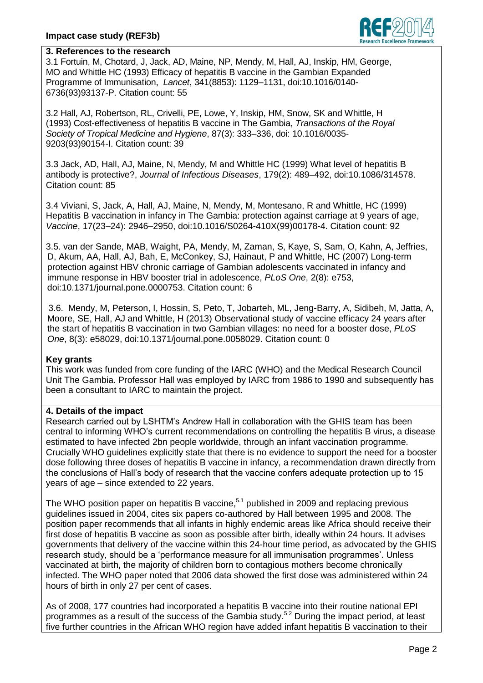

# **3. References to the research**

3.1 Fortuin, M, Chotard, J, Jack, AD, Maine, NP, Mendy, M, Hall, AJ, Inskip, HM, George, MO and Whittle HC (1993) Efficacy of hepatitis B vaccine in the Gambian Expanded Programme of Immunisation, *Lancet*, 341(8853): 1129–1131, doi:10.1016/0140- 6736(93)93137-P. Citation count: 55

3.2 Hall, AJ, Robertson, RL, Crivelli, PE, Lowe, Y, Inskip, HM, Snow, SK and Whittle, H (1993) Cost-effectiveness of hepatitis B vaccine in The Gambia, *Transactions of the Royal Society of Tropical Medicine and Hygiene*, 87(3): 333–336, doi: 10.1016/0035- 9203(93)90154-I. Citation count: 39

3.3 Jack, AD, Hall, AJ, Maine, N, Mendy, M and Whittle HC (1999) What level of hepatitis B antibody is protective?, *Journal of Infectious Diseases*, 179(2): 489–492, doi:10.1086/314578. Citation count: 85

3.4 Viviani, S, Jack, A, Hall, AJ, Maine, N, Mendy, M, Montesano, R and Whittle, HC (1999) Hepatitis B vaccination in infancy in The Gambia: protection against carriage at 9 years of age, *Vaccine*, 17(23–24): 2946–2950, doi:10.1016/S0264-410X(99)00178-4. Citation count: 92

3.5. van der Sande, MAB, Waight, PA, Mendy, M, Zaman, S, Kaye, S, Sam, O, Kahn, A, Jeffries, D, Akum, AA, Hall, AJ, Bah, E, McConkey, SJ, Hainaut, P and Whittle, HC (2007) Long-term protection against HBV chronic carriage of Gambian adolescents vaccinated in infancy and immune response in HBV booster trial in adolescence, *PLoS One*, 2(8): e753, doi[:10.1371/journal.pone.0000753.](http://dx.doi.org/10.1371%2Fjournal.pone.0000753) Citation count: 6

3.6. Mendy, M, Peterson, I, Hossin, S, Peto, T, Jobarteh, ML, Jeng-Barry, A, Sidibeh, M, Jatta, A, Moore, SE, Hall, AJ and Whittle, H (2013) Observational study of vaccine efficacy 24 years after the start of hepatitis B vaccination in two Gambian villages: no need for a booster dose, *PLoS One*, 8(3): e58029, doi[:10.1371/journal.pone.0058029.](http://dx.doi.org/10.1371%2Fjournal.pone.0058029) Citation count: 0

#### **Key grants**

This work was funded from core funding of the IARC (WHO) and the Medical Research Council Unit The Gambia. Professor Hall was employed by IARC from 1986 to 1990 and subsequently has been a consultant to IARC to maintain the project.

# **4. Details of the impact**

Research carried out by LSHTM's Andrew Hall in collaboration with the GHIS team has been central to informing WHO's current recommendations on controlling the hepatitis B virus, a disease estimated to have infected 2bn people worldwide, through an infant vaccination programme. Crucially WHO guidelines explicitly state that there is no evidence to support the need for a booster dose following three doses of hepatitis B vaccine in infancy, a recommendation drawn directly from the conclusions of Hall's body of research that the vaccine confers adequate protection up to 15 years of age – since extended to 22 years.

The WHO position paper on hepatitis B vaccine,<sup>5.1</sup> published in 2009 and replacing previous guidelines issued in 2004, cites six papers co-authored by Hall between 1995 and 2008. The position paper recommends that all infants in highly endemic areas like Africa should receive their first dose of hepatitis B vaccine as soon as possible after birth, ideally within 24 hours. It advises governments that delivery of the vaccine within this 24-hour time period, as advocated by the GHIS research study, should be a 'performance measure for all immunisation programmes'. Unless vaccinated at birth, the majority of children born to contagious mothers become chronically infected. The WHO paper noted that 2006 data showed the first dose was administered within 24 hours of birth in only 27 per cent of cases.

As of 2008, 177 countries had incorporated a hepatitis B vaccine into their routine national EPI programmes as a result of the success of the Gambia study.<sup>5.2</sup> During the impact period, at least five further countries in the African WHO region have added infant hepatitis B vaccination to their